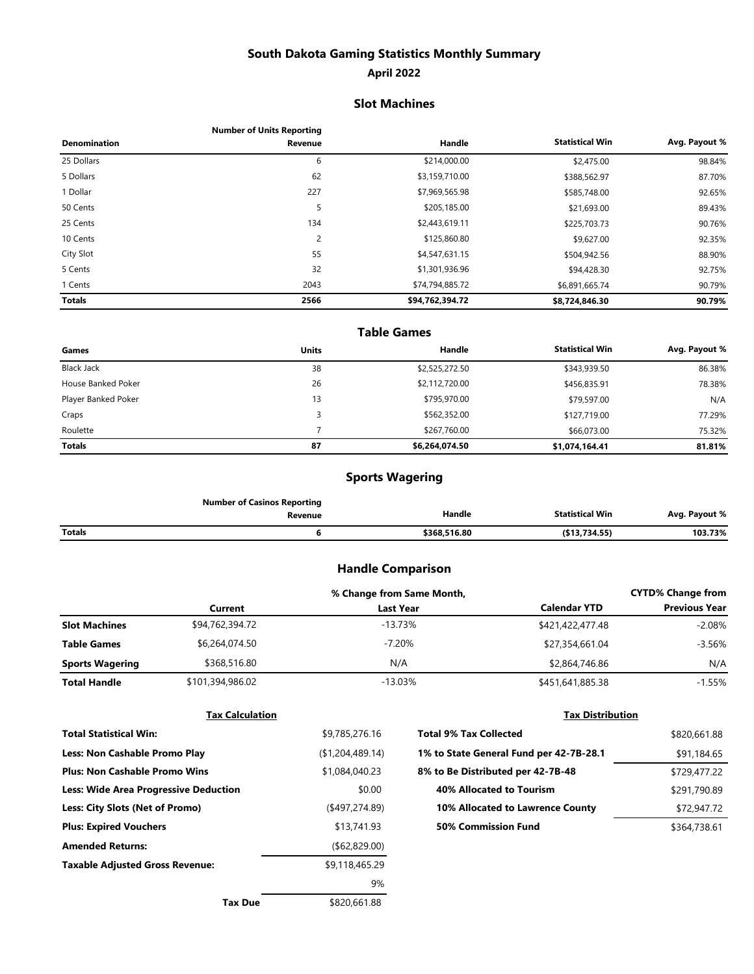## **South Dakota Gaming Statistics Monthly Summary**

#### **April 2022**

#### **Slot Machines**

|                     | <b>Number of Units Reporting</b> |                 |                        |               |
|---------------------|----------------------------------|-----------------|------------------------|---------------|
| <b>Denomination</b> | Revenue                          | Handle          | <b>Statistical Win</b> | Avg. Payout % |
| 25 Dollars          | 6                                | \$214,000.00    | \$2,475.00             | 98.84%        |
| 5 Dollars           | 62                               | \$3,159,710.00  | \$388,562.97           | 87.70%        |
| 1 Dollar            | 227                              | \$7,969,565.98  | \$585,748.00           | 92.65%        |
| 50 Cents            | 5                                | \$205,185.00    | \$21,693.00            | 89.43%        |
| 25 Cents            | 134                              | \$2,443,619.11  | \$225,703.73           | 90.76%        |
| 10 Cents            | 2                                | \$125,860.80    | \$9,627.00             | 92.35%        |
| City Slot           | 55                               | \$4,547,631.15  | \$504,942.56           | 88.90%        |
| 5 Cents             | 32                               | \$1,301,936.96  | \$94,428.30            | 92.75%        |
| 1 Cents             | 2043                             | \$74,794,885.72 | \$6,891,665.74         | 90.79%        |
| <b>Totals</b>       | 2566                             | \$94,762,394.72 | \$8,724,846.30         | 90.79%        |

#### **Statistical Win Avg. Payout %** \$343,939.50 86.38% \$456,835.91 78.38% \$79,597.00 N/A \$127,719.00 77.29% \$66,073.00 75.32% **\$1,074,164.41 81.81% Table Games** House Banked Poker 26 \$2,112,720.00 Player Banked Poker 13 \$795,970.00 Craps \$562,352.00 Roulette 7 \$267,760.00 **Totals 87 \$6,264,074.50** Black Jack 38 \$2,525,272.50 **Games Units Handle**

### **Sports Wagering**

|               | <b>Number of Casinos Reporting</b> |              |                        |               |
|---------------|------------------------------------|--------------|------------------------|---------------|
|               | Revenue                            | Handle       | <b>Statistical Win</b> | Avg. Payout % |
| <b>Totals</b> |                                    | \$368.516.80 | (\$13,734.55)          | 103.73%       |

#### **Handle Comparison**

|                        | % Change from Same Month, |                  |                     | <b>CYTD% Change from</b> |
|------------------------|---------------------------|------------------|---------------------|--------------------------|
|                        | Current                   | <b>Last Year</b> | <b>Calendar YTD</b> | <b>Previous Year</b>     |
| <b>Slot Machines</b>   | \$94,762,394.72           | -13.73%          | \$421,422,477.48    | $-2.08%$                 |
| <b>Table Games</b>     | \$6,264,074.50            | -7.20%           | \$27,354,661.04     | -3.56%                   |
| <b>Sports Wagering</b> | \$368,516.80              | N/A              | \$2,864,746.86      | N/A                      |
| <b>Total Handle</b>    | \$101,394,986.02          | -13.03%          | \$451,641,885.38    | $-1.55%$                 |

| <b>Tax Calculation</b>                       |                   | <b>Tax Distribution</b>                 |              |  |
|----------------------------------------------|-------------------|-----------------------------------------|--------------|--|
| <b>Total Statistical Win:</b>                | \$9,785,276.16    | <b>Total 9% Tax Collected</b>           | \$820,661.88 |  |
| <b>Less: Non Cashable Promo Play</b>         | (\$1,204,489.14)  | 1% to State General Fund per 42-7B-28.1 | \$91,184.65  |  |
| <b>Plus: Non Cashable Promo Wins</b>         | \$1,084,040.23    | 8% to Be Distributed per 42-7B-48       | \$729,477.22 |  |
| <b>Less: Wide Area Progressive Deduction</b> | \$0.00            | 40% Allocated to Tourism                | \$291,790.89 |  |
| Less: City Slots (Net of Promo)              | $($ \$497,274.89) | 10% Allocated to Lawrence County        | \$72,947.72  |  |
| <b>Plus: Expired Vouchers</b>                | \$13,741.93       | 50% Commission Fund                     | \$364,738.61 |  |
| <b>Amended Returns:</b>                      | ( \$62, 829.00)   |                                         |              |  |
| <b>Taxable Adjusted Gross Revenue:</b>       | \$9,118,465.29    |                                         |              |  |
|                                              | 9%                |                                         |              |  |
| <b>Tax Due</b>                               | \$820,661.88      |                                         |              |  |